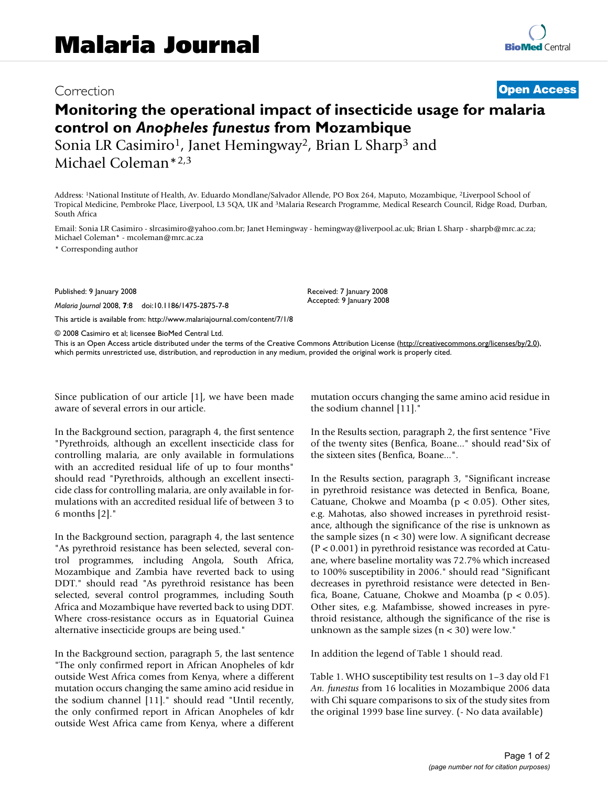## Correction **[Open Access](http://www.biomedcentral.com/info/about/charter/)**

## **Monitoring the operational impact of insecticide usage for malaria control on** *Anopheles funestus* **from Mozambique**

Sonia LR Casimiro<sup>1</sup>, Janet Hemingway<sup>2</sup>, Brian L Sharp<sup>3</sup> and Michael Coleman\*2,3

Address: 1National Institute of Health, Av. Eduardo Mondlane/Salvador Allende, PO Box 264, Maputo, Mozambique, 2Liverpool School of Tropical Medicine, Pembroke Place, Liverpool, L3 5QA, UK and 3Malaria Research Programme, Medical Research Council, Ridge Road, Durban, South Africa

Email: Sonia LR Casimiro - slrcasimiro@yahoo.com.br; Janet Hemingway - hemingway@liverpool.ac.uk; Brian L Sharp - sharpb@mrc.ac.za; Michael Coleman\* - mcoleman@mrc.ac.za

\* Corresponding author

Published: 9 January 2008

*Malaria Journal* 2008, **7**:8 doi:10.1186/1475-2875-7-8

[This article is available from: http://www.malariajournal.com/content/7/1/8](http://www.malariajournal.com/content/7/1/8)

© 2008 Casimiro et al; licensee BioMed Central Ltd.

This is an Open Access article distributed under the terms of the Creative Commons Attribution License [\(http://creativecommons.org/licenses/by/2.0\)](http://creativecommons.org/licenses/by/2.0), which permits unrestricted use, distribution, and reproduction in any medium, provided the original work is properly cited.

Received: 7 January 2008 Accepted: 9 January 2008

Since publication of our article [1], we have been made aware of several errors in our article.

In the Background section, paragraph 4, the first sentence "Pyrethroids, although an excellent insecticide class for controlling malaria, are only available in formulations with an accredited residual life of up to four months" should read "Pyrethroids, although an excellent insecticide class for controlling malaria, are only available in formulations with an accredited residual life of between 3 to 6 months [2]."

In the Background section, paragraph 4, the last sentence "As pyrethroid resistance has been selected, several control programmes, including Angola, South Africa, Mozambique and Zambia have reverted back to using DDT." should read "As pyrethroid resistance has been selected, several control programmes, including South Africa and Mozambique have reverted back to using DDT. Where cross-resistance occurs as in Equatorial Guinea alternative insecticide groups are being used."

In the Background section, paragraph 5, the last sentence "The only confirmed report in African Anopheles of kdr outside West Africa comes from Kenya, where a different mutation occurs changing the same amino acid residue in the sodium channel [11]." should read "Until recently, the only confirmed report in African Anopheles of kdr outside West Africa came from Kenya, where a different mutation occurs changing the same amino acid residue in the sodium channel [11]."

In the Results section, paragraph 2, the first sentence "Five of the twenty sites (Benfica, Boane..." should read"Six of the sixteen sites (Benfica, Boane...".

In the Results section, paragraph 3, "Significant increase in pyrethroid resistance was detected in Benfica, Boane, Catuane, Chokwe and Moamba ( $p < 0.05$ ). Other sites, e.g. Mahotas, also showed increases in pyrethroid resistance, although the significance of the rise is unknown as the sample sizes  $(n < 30)$  were low. A significant decrease (P < 0.001) in pyrethroid resistance was recorded at Catuane, where baseline mortality was 72.7% which increased to 100% susceptibility in 2006." should read "Significant decreases in pyrethroid resistance were detected in Benfica, Boane, Catuane, Chokwe and Moamba ( $p < 0.05$ ). Other sites, e.g. Mafambisse, showed increases in pyrethroid resistance, although the significance of the rise is unknown as the sample sizes  $(n < 30)$  were low."

In addition the legend of Table 1 should read.

Table 1. WHO susceptibility test results on 1–3 day old F1 *An. funestus* from 16 localities in Mozambique 2006 data with Chi square comparisons to six of the study sites from the original 1999 base line survey. (- No data available)